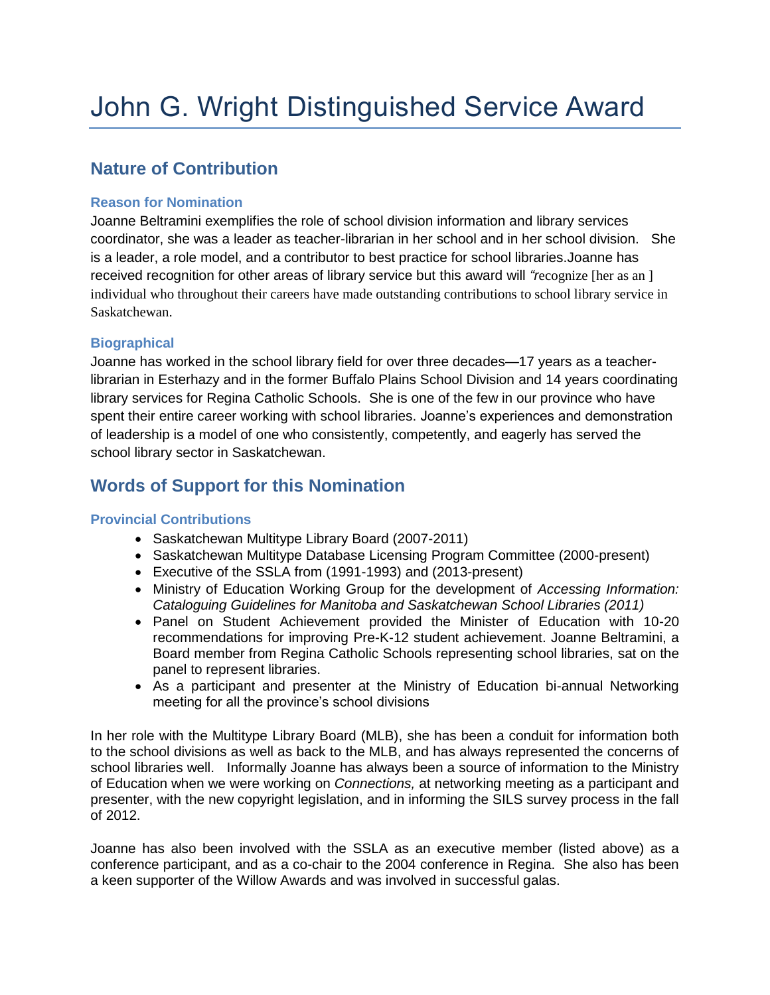# **Nature of Contribution**

# **Reason for Nomination**

Joanne Beltramini exemplifies the role of school division information and library services coordinator, she was a leader as teacher-librarian in her school and in her school division. She is a leader, a role model, and a contributor to best practice for school libraries.Joanne has received recognition for other areas of library service but this award will *"r*ecognize [her as an ] individual who throughout their careers have made outstanding contributions to school library service in Saskatchewan.

# **Biographical**

Joanne has worked in the school library field for over three decades—17 years as a teacherlibrarian in Esterhazy and in the former Buffalo Plains School Division and 14 years coordinating library services for Regina Catholic Schools. She is one of the few in our province who have spent their entire career working with school libraries. Joanne's experiences and demonstration of leadership is a model of one who consistently, competently, and eagerly has served the school library sector in Saskatchewan.

# **Words of Support for this Nomination**

# **Provincial Contributions**

- Saskatchewan Multitype Library Board (2007-2011)
- Saskatchewan Multitype Database Licensing Program Committee (2000-present)
- Executive of the SSLA from (1991-1993) and (2013-present)
- Ministry of Education Working Group for the development of *Accessing Information: Cataloguing Guidelines for Manitoba and Saskatchewan School Libraries (2011)*
- Panel on Student Achievement provided the Minister of Education with 10-20 recommendations for improving Pre-K-12 student achievement. Joanne Beltramini, a Board member from Regina Catholic Schools representing school libraries, sat on the panel to represent libraries.
- As a participant and presenter at the Ministry of Education bi-annual Networking meeting for all the province's school divisions

In her role with the Multitype Library Board (MLB), she has been a conduit for information both to the school divisions as well as back to the MLB, and has always represented the concerns of school libraries well. Informally Joanne has always been a source of information to the Ministry of Education when we were working on *Connections,* at networking meeting as a participant and presenter, with the new copyright legislation, and in informing the SILS survey process in the fall of 2012.

Joanne has also been involved with the SSLA as an executive member (listed above) as a conference participant, and as a co-chair to the 2004 conference in Regina. She also has been a keen supporter of the Willow Awards and was involved in successful galas.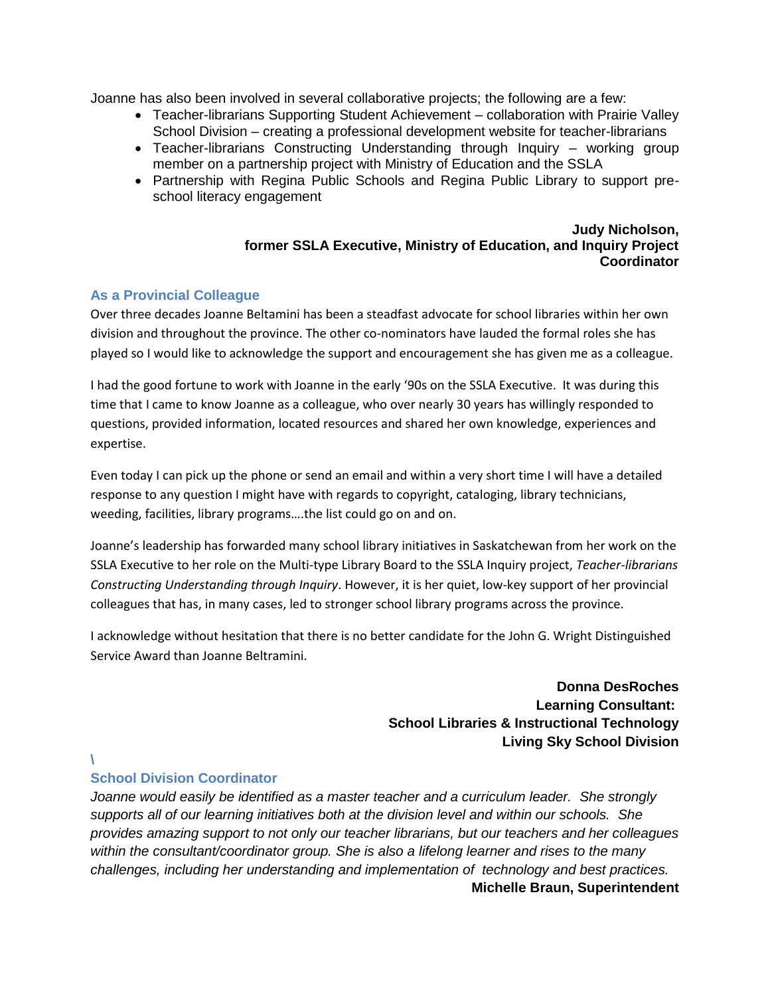Joanne has also been involved in several collaborative projects; the following are a few:

- Teacher-librarians Supporting Student Achievement collaboration with Prairie Valley School Division – creating a professional development website for teacher-librarians
- Teacher-librarians Constructing Understanding through Inquiry working group member on a partnership project with Ministry of Education and the SSLA
- Partnership with Regina Public Schools and Regina Public Library to support preschool literacy engagement

#### **Judy Nicholson, former SSLA Executive, Ministry of Education, and Inquiry Project Coordinator**

### **As a Provincial Colleague**

Over three decades Joanne Beltamini has been a steadfast advocate for school libraries within her own division and throughout the province. The other co-nominators have lauded the formal roles she has played so I would like to acknowledge the support and encouragement she has given me as a colleague.

I had the good fortune to work with Joanne in the early '90s on the SSLA Executive. It was during this time that I came to know Joanne as a colleague, who over nearly 30 years has willingly responded to questions, provided information, located resources and shared her own knowledge, experiences and expertise.

Even today I can pick up the phone or send an email and within a very short time I will have a detailed response to any question I might have with regards to copyright, cataloging, library technicians, weeding, facilities, library programs….the list could go on and on.

Joanne's leadership has forwarded many school library initiatives in Saskatchewan from her work on the SSLA Executive to her role on the Multi-type Library Board to the SSLA Inquiry project, *Teacher-librarians Constructing Understanding through Inquiry*. However, it is her quiet, low-key support of her provincial colleagues that has, in many cases, led to stronger school library programs across the province.

I acknowledge without hesitation that there is no better candidate for the John G. Wright Distinguished Service Award than Joanne Beltramini.

> **Donna DesRoches Learning Consultant: School Libraries & Instructional Technology Living Sky School Division**

**\**

### **School Division Coordinator**

*Joanne would easily be identified as a master teacher and a curriculum leader. She strongly supports all of our learning initiatives both at the division level and within our schools. She provides amazing support to not only our teacher librarians, but our teachers and her colleagues within the consultant/coordinator group. She is also a lifelong learner and rises to the many challenges, including her understanding and implementation of technology and best practices.* **Michelle Braun, Superintendent**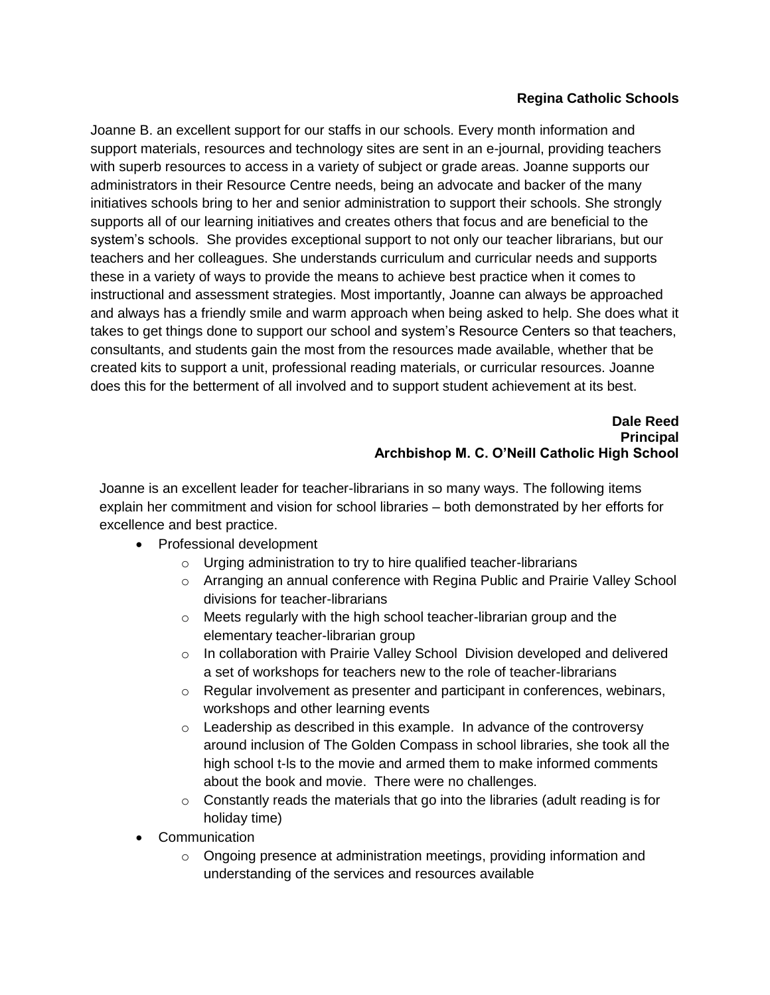# **Regina Catholic Schools**

Joanne B. an excellent support for our staffs in our schools. Every month information and support materials, resources and technology sites are sent in an e-journal, providing teachers with superb resources to access in a variety of subject or grade areas. Joanne supports our administrators in their Resource Centre needs, being an advocate and backer of the many initiatives schools bring to her and senior administration to support their schools. She strongly supports all of our learning initiatives and creates others that focus and are beneficial to the system's schools. She provides exceptional support to not only our teacher librarians, but our teachers and her colleagues. She understands curriculum and curricular needs and supports these in a variety of ways to provide the means to achieve best practice when it comes to instructional and assessment strategies. Most importantly, Joanne can always be approached and always has a friendly smile and warm approach when being asked to help. She does what it takes to get things done to support our school and system's Resource Centers so that teachers, consultants, and students gain the most from the resources made available, whether that be created kits to support a unit, professional reading materials, or curricular resources. Joanne does this for the betterment of all involved and to support student achievement at its best.

#### **Dale Reed Principal Archbishop M. C. O'Neill Catholic High School**

Joanne is an excellent leader for teacher-librarians in so many ways. The following items explain her commitment and vision for school libraries – both demonstrated by her efforts for excellence and best practice.

- Professional development
	- $\circ$  Urging administration to try to hire qualified teacher-librarians
	- o Arranging an annual conference with Regina Public and Prairie Valley School divisions for teacher-librarians
	- o Meets regularly with the high school teacher-librarian group and the elementary teacher-librarian group
	- $\circ$  In collaboration with Prairie Valley School Division developed and delivered a set of workshops for teachers new to the role of teacher-librarians
	- o Regular involvement as presenter and participant in conferences, webinars, workshops and other learning events
	- o Leadership as described in this example. In advance of the controversy around inclusion of The Golden Compass in school libraries, she took all the high school t-ls to the movie and armed them to make informed comments about the book and movie. There were no challenges.
	- $\circ$  Constantly reads the materials that go into the libraries (adult reading is for holiday time)
- Communication
	- o Ongoing presence at administration meetings, providing information and understanding of the services and resources available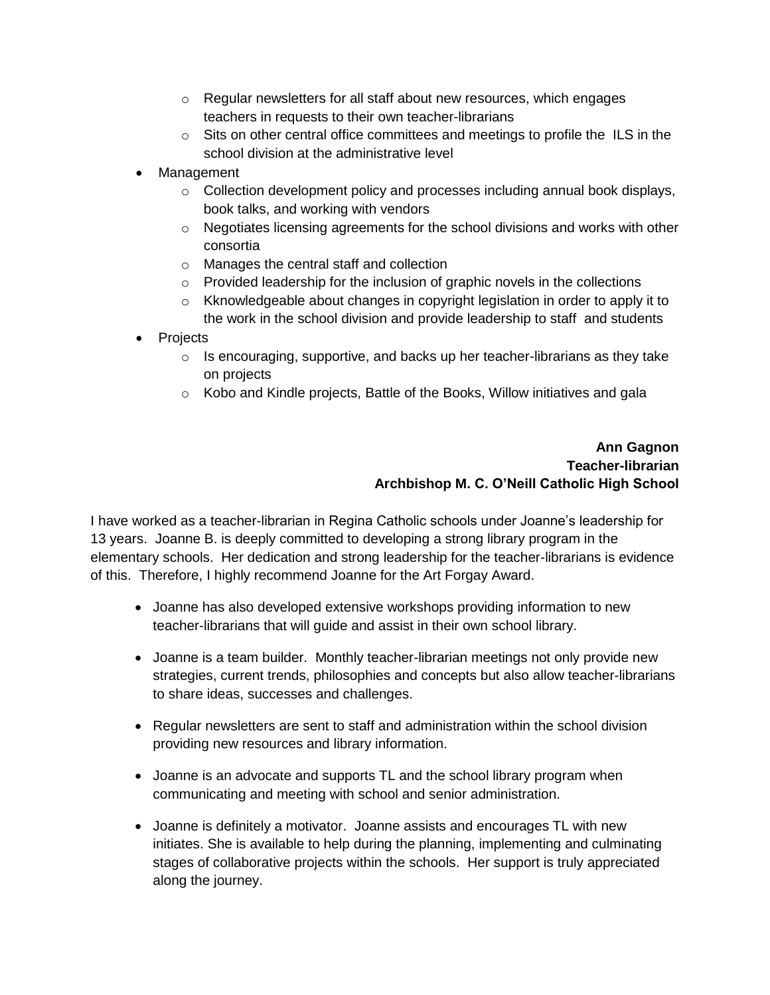- $\circ$  Regular newsletters for all staff about new resources, which engages teachers in requests to their own teacher-librarians
- $\circ$  Sits on other central office committees and meetings to profile the ILS in the school division at the administrative level
- Management
	- $\circ$  Collection development policy and processes including annual book displays, book talks, and working with vendors
	- o Negotiates licensing agreements for the school divisions and works with other consortia
	- o Manages the central staff and collection
	- $\circ$  Provided leadership for the inclusion of graphic novels in the collections
	- $\circ$  Kknowledgeable about changes in copyright legislation in order to apply it to the work in the school division and provide leadership to staff and students
- Projects
	- $\circ$  Is encouraging, supportive, and backs up her teacher-librarians as they take on projects
	- o Kobo and Kindle projects, Battle of the Books, Willow initiatives and gala

# **Ann Gagnon Teacher-librarian Archbishop M. C. O'Neill Catholic High School**

I have worked as a teacher-librarian in Regina Catholic schools under Joanne's leadership for 13 years. Joanne B. is deeply committed to developing a strong library program in the elementary schools. Her dedication and strong leadership for the teacher-librarians is evidence of this. Therefore, I highly recommend Joanne for the Art Forgay Award.

- Joanne has also developed extensive workshops providing information to new teacher-librarians that will guide and assist in their own school library.
- Joanne is a team builder. Monthly teacher-librarian meetings not only provide new strategies, current trends, philosophies and concepts but also allow teacher-librarians to share ideas, successes and challenges.
- Regular newsletters are sent to staff and administration within the school division providing new resources and library information.
- Joanne is an advocate and supports TL and the school library program when communicating and meeting with school and senior administration.
- Joanne is definitely a motivator. Joanne assists and encourages TL with new initiates. She is available to help during the planning, implementing and culminating stages of collaborative projects within the schools. Her support is truly appreciated along the journey.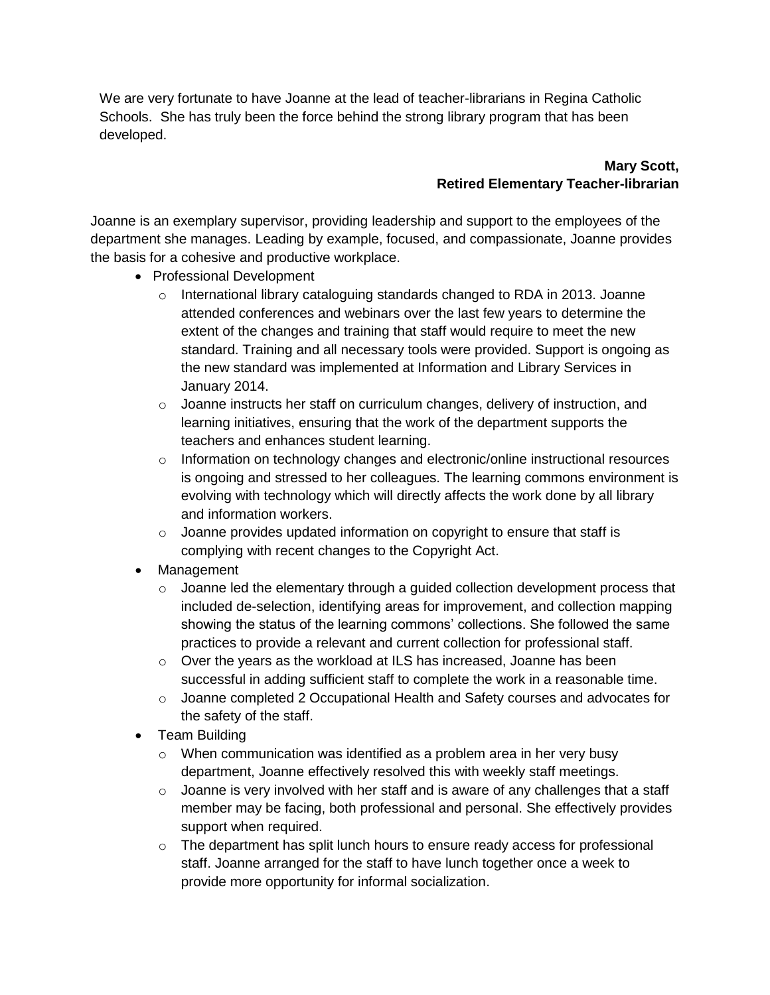We are very fortunate to have Joanne at the lead of teacher-librarians in Regina Catholic Schools. She has truly been the force behind the strong library program that has been developed.

# **Mary Scott, Retired Elementary Teacher-librarian**

Joanne is an exemplary supervisor, providing leadership and support to the employees of the department she manages. Leading by example, focused, and compassionate, Joanne provides the basis for a cohesive and productive workplace.

- Professional Development
	- $\circ$  International library cataloguing standards changed to RDA in 2013. Joanne attended conferences and webinars over the last few years to determine the extent of the changes and training that staff would require to meet the new standard. Training and all necessary tools were provided. Support is ongoing as the new standard was implemented at Information and Library Services in January 2014.
	- $\circ$  Joanne instructs her staff on curriculum changes, delivery of instruction, and learning initiatives, ensuring that the work of the department supports the teachers and enhances student learning.
	- $\circ$  Information on technology changes and electronic/online instructional resources is ongoing and stressed to her colleagues. The learning commons environment is evolving with technology which will directly affects the work done by all library and information workers.
	- o Joanne provides updated information on copyright to ensure that staff is complying with recent changes to the Copyright Act.
- Management
	- $\circ$  Joanne led the elementary through a guided collection development process that included de-selection, identifying areas for improvement, and collection mapping showing the status of the learning commons' collections. She followed the same practices to provide a relevant and current collection for professional staff.
	- $\circ$  Over the years as the workload at ILS has increased, Joanne has been successful in adding sufficient staff to complete the work in a reasonable time.
	- o Joanne completed 2 Occupational Health and Safety courses and advocates for the safety of the staff.
- Team Building
	- o When communication was identified as a problem area in her very busy department, Joanne effectively resolved this with weekly staff meetings.
	- $\circ$  Joanne is very involved with her staff and is aware of any challenges that a staff member may be facing, both professional and personal. She effectively provides support when required.
	- $\circ$  The department has split lunch hours to ensure ready access for professional staff. Joanne arranged for the staff to have lunch together once a week to provide more opportunity for informal socialization.